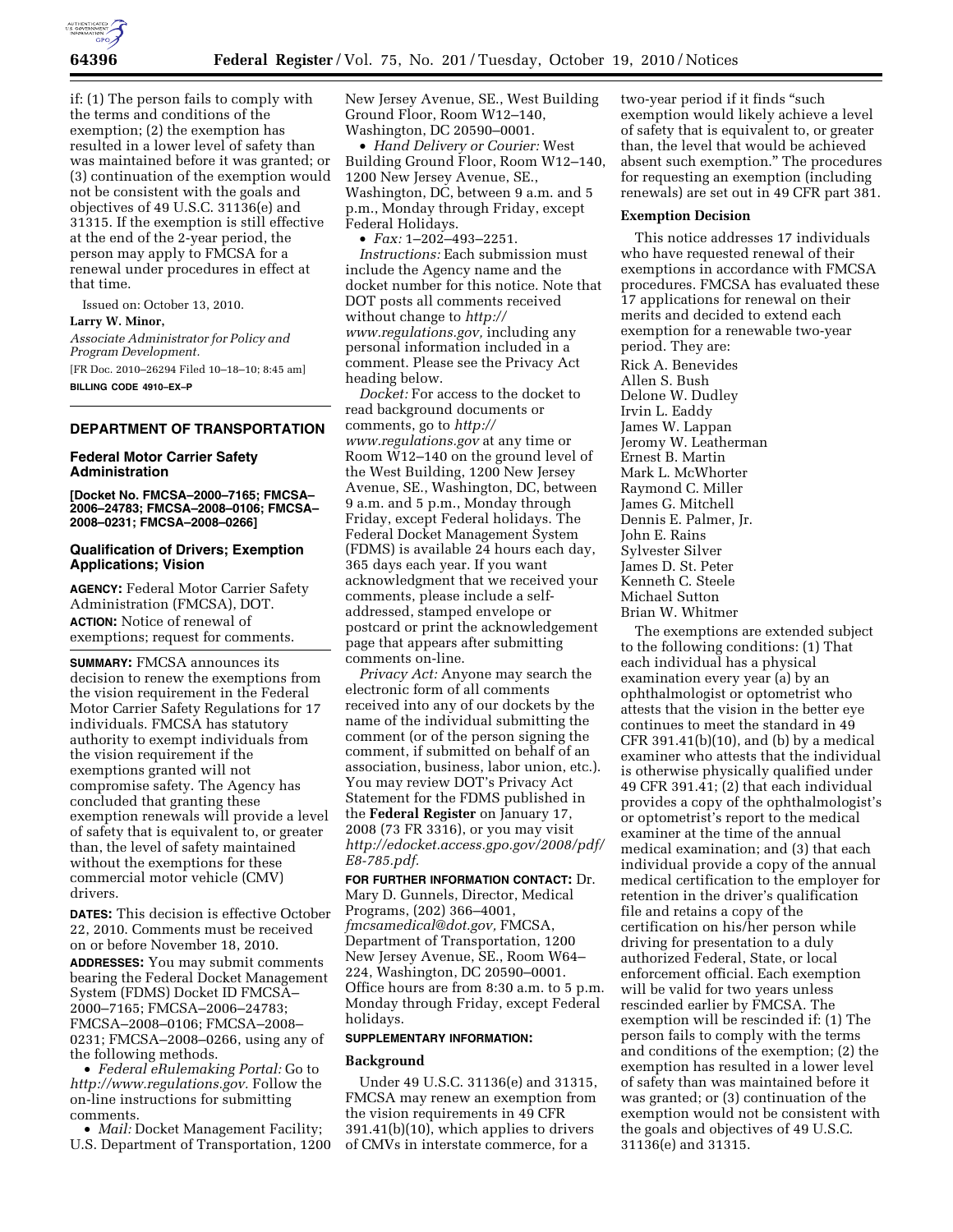

if: (1) The person fails to comply with the terms and conditions of the exemption; (2) the exemption has resulted in a lower level of safety than was maintained before it was granted; or (3) continuation of the exemption would not be consistent with the goals and objectives of 49 U.S.C. 31136(e) and 31315. If the exemption is still effective at the end of the 2-year period, the person may apply to FMCSA for a renewal under procedures in effect at that time.

Issued on: October 13, 2010. **Larry W. Minor,** 

*Associate Administrator for Policy and Program Development.* 

[FR Doc. 2010–26294 Filed 10–18–10; 8:45 am] **BILLING CODE 4910–EX–P** 

# **DEPARTMENT OF TRANSPORTATION**

# **Federal Motor Carrier Safety Administration**

**[Docket No. FMCSA–2000–7165; FMCSA– 2006–24783; FMCSA–2008–0106; FMCSA– 2008–0231; FMCSA–2008–0266]** 

# **Qualification of Drivers; Exemption Applications; Vision**

**AGENCY:** Federal Motor Carrier Safety Administration (FMCSA), DOT. **ACTION:** Notice of renewal of exemptions; request for comments.

**SUMMARY:** FMCSA announces its decision to renew the exemptions from the vision requirement in the Federal Motor Carrier Safety Regulations for 17 individuals. FMCSA has statutory authority to exempt individuals from the vision requirement if the exemptions granted will not compromise safety. The Agency has concluded that granting these exemption renewals will provide a level of safety that is equivalent to, or greater than, the level of safety maintained without the exemptions for these commercial motor vehicle (CMV) drivers.

**DATES:** This decision is effective October 22, 2010. Comments must be received on or before November 18, 2010.

**ADDRESSES:** You may submit comments bearing the Federal Docket Management System (FDMS) Docket ID FMCSA– 2000–7165; FMCSA–2006–24783; FMCSA–2008–0106; FMCSA–2008– 0231; FMCSA–2008–0266, using any of the following methods.

• *Federal eRulemaking Portal:* Go to *[http://www.regulations.gov.](http://www.regulations.gov)* Follow the on-line instructions for submitting comments.

• *Mail:* Docket Management Facility; U.S. Department of Transportation, 1200 New Jersey Avenue, SE., West Building Ground Floor, Room W12–140, Washington, DC 20590–0001.

• *Hand Delivery or Courier:* West Building Ground Floor, Room W12–140, 1200 New Jersey Avenue, SE., Washington, DC, between 9 a.m. and 5 p.m., Monday through Friday, except Federal Holidays.

• *Fax:* 1–202–493–2251. *Instructions:* Each submission must include the Agency name and the docket number for this notice. Note that DOT posts all comments received without change to *[http://](http://www.regulations.gov) [www.regulations.gov,](http://www.regulations.gov)* including any personal information included in a comment. Please see the Privacy Act heading below.

*Docket:* For access to the docket to read background documents or comments, go to *[http://](http://www.regulations.gov) [www.regulations.gov](http://www.regulations.gov)* at any time or Room W12–140 on the ground level of the West Building, 1200 New Jersey Avenue, SE., Washington, DC, between 9 a.m. and 5 p.m., Monday through Friday, except Federal holidays. The Federal Docket Management System (FDMS) is available 24 hours each day, 365 days each year. If you want acknowledgment that we received your comments, please include a selfaddressed, stamped envelope or postcard or print the acknowledgement page that appears after submitting comments on-line.

*Privacy Act:* Anyone may search the electronic form of all comments received into any of our dockets by the name of the individual submitting the comment (or of the person signing the comment, if submitted on behalf of an association, business, labor union, etc.). You may review DOT's Privacy Act Statement for the FDMS published in the **Federal Register** on January 17, 2008 (73 FR 3316), or you may visit *[http://edocket.access.gpo.gov/2008/pdf/](http://edocket.access.gpo.gov/2008/pdf/E8-785.pdf) [E8-785.pdf.](http://edocket.access.gpo.gov/2008/pdf/E8-785.pdf)* 

**FOR FURTHER INFORMATION CONTACT:** Dr. Mary D. Gunnels, Director, Medical Programs, (202) 366–4001, *[fmcsamedical@dot.gov,](mailto:fmcsamedical@dot.gov)* FMCSA, Department of Transportation, 1200 New Jersey Avenue, SE., Room W64– 224, Washington, DC 20590–0001. Office hours are from 8:30 a.m. to 5 p.m. Monday through Friday, except Federal holidays.

# **SUPPLEMENTARY INFORMATION:**

### **Background**

Under 49 U.S.C. 31136(e) and 31315, FMCSA may renew an exemption from the vision requirements in 49 CFR 391.41(b)(10), which applies to drivers of CMVs in interstate commerce, for a

two-year period if it finds ''such exemption would likely achieve a level of safety that is equivalent to, or greater than, the level that would be achieved absent such exemption.'' The procedures for requesting an exemption (including renewals) are set out in 49 CFR part 381.

#### **Exemption Decision**

This notice addresses 17 individuals who have requested renewal of their exemptions in accordance with FMCSA procedures. FMCSA has evaluated these 17 applications for renewal on their merits and decided to extend each exemption for a renewable two-year period. They are: Rick A. Benevides Allen S. Bush Delone W. Dudley Irvin L. Eaddy James W. Lappan Jeromy W. Leatherman Ernest B. Martin Mark L. McWhorter Raymond C. Miller James G. Mitchell Dennis E. Palmer, Jr. John E. Rains Sylvester Silver James D. St. Peter Kenneth C. Steele Michael Sutton Brian W. Whitmer

The exemptions are extended subject to the following conditions: (1) That each individual has a physical examination every year (a) by an ophthalmologist or optometrist who attests that the vision in the better eye continues to meet the standard in 49  $CFR$  391.41(b)(10), and (b) by a medical examiner who attests that the individual is otherwise physically qualified under 49 CFR 391.41; (2) that each individual provides a copy of the ophthalmologist's or optometrist's report to the medical examiner at the time of the annual medical examination; and (3) that each individual provide a copy of the annual medical certification to the employer for retention in the driver's qualification file and retains a copy of the certification on his/her person while driving for presentation to a duly authorized Federal, State, or local enforcement official. Each exemption will be valid for two years unless rescinded earlier by FMCSA. The exemption will be rescinded if: (1) The person fails to comply with the terms and conditions of the exemption; (2) the exemption has resulted in a lower level of safety than was maintained before it was granted; or (3) continuation of the exemption would not be consistent with the goals and objectives of 49 U.S.C. 31136(e) and 31315.